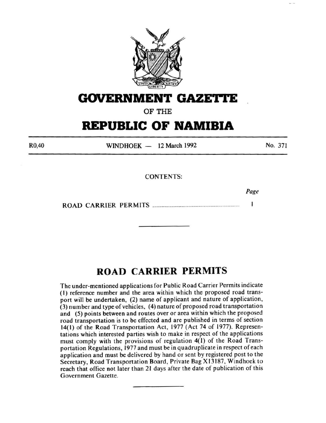

# **GOVERNMENT GAZETI'E**

OF THE

# **REPUBLIC OF NAMIBIA**

R0,40

 $WINDHOEK - 12 March 1992$ 

No. 371

CONTENTS:

*Page* 

ROAD CARRIER PERMITS ................................................................. . 1

## **ROAD CARRIER PERMITS**

The under-mentioned applications for Public Road Carrier Permits indicate (I) reference number and the area within which the proposed road transport will be undertaken, (2) name of applicant and nature of application, (3) number and type of vehicles, ( 4) nature of proposed road transportation and (5) points between and routes over or area within which the proposed road transportation is to be effected and are published in terms of section 14(1) of the Road Transportation Act, 1977 (Act 74 of 1977). Representations which interested parties wish to make in respect of the applications must comply with the provisions of regulation  $4(1)$  of the Road Transportation Regulations, 1977 and must be in quadruplicate in respect of each application and must be delivered by hand or sent by registered post to the Secretary, Road Transportation Board, Private Bag X 13187, Windhoek to reach that office not later than 21 days after the date of publication of this Government Gazette.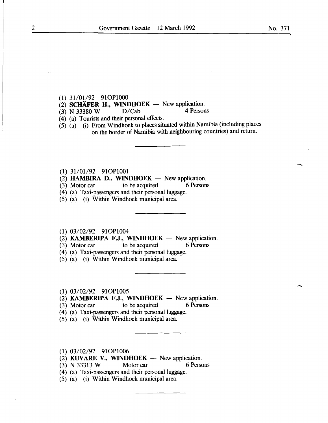- $(1)$  31/01/92 91OP1000
- (2) SCHÄFER H., WINDHOEK New application.<br>
(3) N 33380 W D/Cab 4 Persons
- $(3)$  N 33380 W
- (4) (a) Tourists and their personal effects.
- $(5)$   $(a)$  (i) From Windhoek to places situated within Namibia (including places on the border of Namibia with neighbouring countries) and return.
- (1) 31/01/92 91OP1001
- (2) HAMBIRA D., WINDHOEK  $-$  New application.
- (3) Motor car to be acquired 6 Persons
- (4) (a) Taxi-passengers and their personal luggage.
- $(5)$   $(a)$   $(i)$  Within Windhoek municipal area.
- $(1)$  03/02/92 91OP1004

 $(2)$  KAMBERIPA F.J., WINDHOEK - New application.

- (3) Motor car to be acquired 6 Persons
- (4) (a) Taxi-passengers and their personal luggage.
- (5) (a) (i) Within Windhoek municipal area.

#### $(1)$  03/02/92 91OP1005

 $(2)$  KAMBERIPA F.J., WINDHOEK - New application.

(3) Motor car to be acquired 6 Persons

- (4) (a) Taxi-passengers and their personal luggage.
- (5) (a) (i) Within Windhoek municipal area.
- $(1)$  03/02/92 91OP1006
- (2) KUVARE V., WINDHOEK  $-$  New application.
- (3) N 33313 W Motor car 6 Persons
- (4) (a) Taxi-passengers and their personal luggage.
- (5) (a) (i) Within Windhoek municipal area.

-

 $\overline{\phantom{a}}$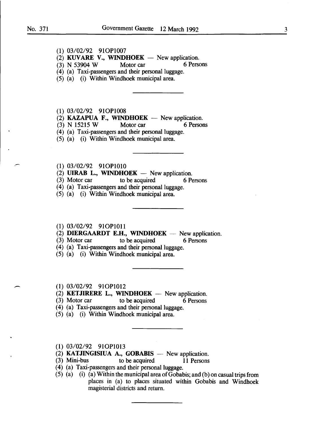- (1) 03/02/92 910Pl007
- (2) KUVARE V., WINDHOEK New application.<br>
(3) N 53904 W Motor car 6 Persons
- $(3)$  N 53904 W Motor car
- (4) (a) Taxi-passengers and their personal luggage.
- (5) (a) (i) Within Windhoek municipal area.
- (1) 03/02/92 910Pl008
- (2) **KAZAPUA F., WINDHOEK** New application.<br>(3) N 15215 W Motor car 6 Persons
- $(3)$  N 15215 W
- (4) (a) Taxi-passengers and their personal luggage.
- (5) (a) (i) Within Windhoek municipal area.
- (1) 03/02/92 910Pl010
- (2) UIRAB L., WINDHOEK New application.<br>(3) Motor car to be acquired 6 Pe
- (3) Motor car to be acquired 6 Persons
- (4) (a) Taxi-passengers and their personal luggage.
- (5) (a) (i) Within Windhoek municipal area.
- (1) 03/02/92 910Pl011
- (2) **DIERGAARDT E.H., WINDHOEK** New application.<br>(3) Motor car to be acquired 6 Persons
- $\alpha$  to be acquired
- (4) (a) Taxi-passengers and their personal luggage.
- (5) (a) (i) Within Windhoek municipal area.
- (1) 03/02/92 910P1012
- $(2)$  KETJIRERE L., WINDHOEK New application.
- (3) Motor car to be acquired 6 Persons
- (4) (a) Taxi-passengers and their personal luggage.
- (5) (a) (i) Within Windhoek municipal area.
- (1) 03/02/92 910Pl013
- (2) **KATJINGISIUA A., GOBABIS** New application.<br>(3) Mini-bus to be acquired 11 Persons
- to be acquired 11 Persons
- (4) (a) Taxi-passengers and their personal luggage.
- (5) (a) (i) (a) Within the municipal area of Gobabis; and (b) on casual trips from places in (a) to places situated within Gobabis and Windhoek magisterial districts and return.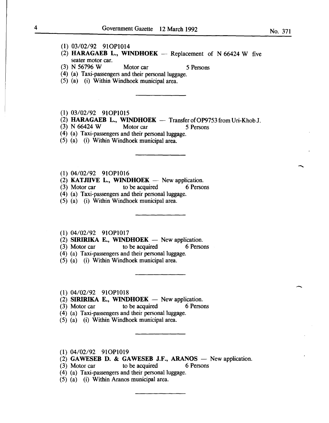- (1) 03/02/92 910P1014
- (2) HARAGAEB L., WINDHOEK  $-$  Replacement of N 66424 W five seater motor car.
- (3) N 56796 W Motor car 5 Persons

- ( 4) (a) Taxi-passengers and their personal luggage.
- $(5)$   $(a)$   $(i)$  Within Windhoek municipal area.
- (1) 03/02/92 910Pl015
- (2) HARAGAEB L., WINDHOEK  $-$  Transfer of OP9753 from Uri-Khob J.
- $(3)$  N 66424 W Motor car 5 Persons
- ( 4) (a) Taxi-passengers and their personal luggage.
- (5) (a) (i) Within Windhoek municipal area.
- $(1)$  04/02/92 91OP1016
- (2) **KATJIIVE L., WINDHOEK** New application.<br>(3) Motor car to be acquired 6 Persons
- $(3)$  Motor car to be acquired
- (4) (a) Taxi-passengers and their personal luggage.
- $(5)$   $(a)$   $(i)$  Within Windhoek municipal area.
- (1) 04/02/92 910P1017
- $(2)$  SIRIRIKA E., WINDHOEK New application.
- (3) Motor car to be acquired 6 Persons
- (4) (a) Taxi-passengers and their personal luggage.
- (5) (a) (i) Within Windhoek municipal area.
- 
- (1)  $04/02/92$  91OP1018<br>(2) SIRIRIKA E., WINDHOEK New application.
- (3) Motor car to be acquired 6 Persons
- $(4)$  (a) Taxi-passengers and their personal luggage.
- (5) (a) (i) Within Windhoek municipal area.
- (1) 04/02/92 910P1019
- (2) GAWESEB D. & GAWESEB J.F., ARANOS  $-$  New application.
- (3) Motor car to be acquired 6 Persons
- (4) (a) Taxi-passengers and their personal luggage.
- (5) (a) (i) Within Aranos municipal area.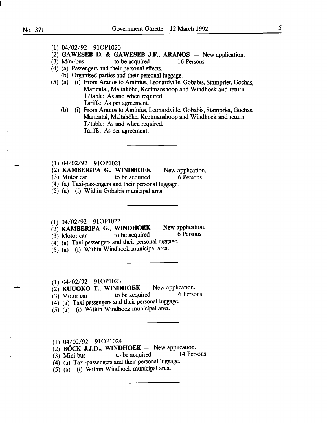-

- (1) 04/02/92 910P1020
- (2) GAWESEB D. & GAWESEB J.F., ARANOS New application.<br>(3) Mini-bus to be acquired 16 Persons
- to be acquired

- ( 4) (a) Passengers and their personal effects.
	- (b) Organised parties and their personal luggage.
- (5) (a) (i) From Aranos to Aminius, Leonardville, Gobabis, Stampriet, Gochas, Mariental, Maltahöhe, Keetmanshoop and Windhoek and return. T/table: As and when required. Tariffs: As per agreement.
	- (b) (i) From Aranos to Aminius, Leonardville, Gobabis, Stampriet, Gochas, Mariental, Maltahöhe, Keetmanshoop and Windhoek and return. T/table: As and when required. Tariffs: As per agreement.
- (1) 04/02/92 910Pl021
- (2) **KAMBERIPA G., WINDHOEK** New application.<br>(3) Motor car to be acquired 6 Persons
- (3) Motor car to be acquired 6 Persons
- (4) (a) Taxi-passengers and their personal luggage.
- (5) (a) (i) Within Gobabis municipal area.
- 
- (1)  $04/02/92$  91OP1022<br>
(2) **KAMBERIPA G., WINDHOEK** New application.<br>
(3) Motor car to be acquired 6 Persons
- $(3)$  Motor car
- $(4)$  (a) Taxi-passengers and their personal luggage.
- (5) (a) (i) Within Windhoek municipal area.
- 
- 
- (1)  $04/02/92$  910P1023<br>
(2) **KUUOKO T., WINDHOEK** New application.<br>
(3) Motor car to be acquired 6 Persons  $(3)$  Motor car
- (4) (a) Taxi-passengers and their personal luggage.
- (5) (a) (i) Within Windhoek municipal area.
- (1) 04/02/92 910P1024
- $\overrightarrow{2}$  **BÖCK J.J.D., WINDHOEK** New application.<br>(3) Mini-bus to be acquired 14 Persons
- $(3)$  Mini-bus to be acquired 14 Persons
- (4) (a) Taxi-passengers and their personal luggage.
- $(5)$   $(a)$  (i) Within Windhoek municipal area.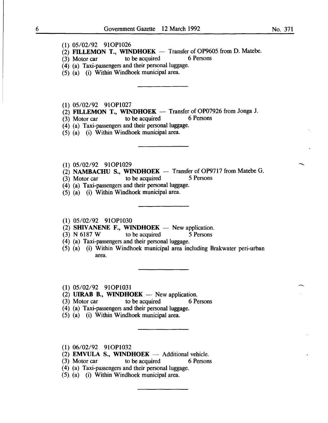### (1) 05/02/92 910P1026

- (2) FILLEMON T., WINDHOEK Transfer of OP9605 from D. Matebe.<br>
(3) Motor car to be acquired 6 Persons
- $(3)$  Motor car
- $(4)$  (a) Taxi-passengers and their personal luggage.
- (5) (a) (i) Within Windhoek municipal area.

(1) 05/02/92 910Pl027

- (2) FILLEMON T., WINDHOEK -- Transfer of OP07926 from Jonga J.<br>(3) Motor car to be acquired 6 Persons
- $(3)$  Motor car to be acquired

 $(4)$  (a) Taxi-passengers and their personal luggage.

- $(5)$   $(a)$   $(i)$  Within Windhoek municipal area.
- (1) 05/02/92 910P1029
- (2) **NAMBACHU S., WINDHOEK** Transfer of OP9717 from Matebe G.<br>(3) Motor car to be acquired 5 Persons
- $(3)$  Motor car to be acquired
- (4) (a) Taxi-passengers and their personal luggage.
- (5) (a) (i) Within Windhoek municipal area.

(1) 05/02/92 910P1030

- (2) SHIVANENE F., WINDHOEK New application.<br>
(3) N 6187 W to be acquired 5 Persons
- $(3)$  N 6187 W
- (4) (a) Taxi-passengers and their personal luggage.
- (5) (a) (i) Within Windhoek municipal area including Brakwater peri-urban area.

(1) 05/02/92 910P1031

- $(2)$  UIRAB B., WINDHOEK New application.
- (3) Motor car to be acquired 6 Persons
- (4) (a) Taxi-passengers and their personal luggage.
- (5) (a) (i) Within Windhoek municipal area.
- (1) 06/02/92 910P1032
- (2) EMVULA S., WINDHOEK  $-$  Additional vehicle.
- (3) Motor car to be acquired 6 Persons
- (4) (a) Taxi-passengers and their personal luggage.
- (5). (a) (i) Within Windhoek municipal area.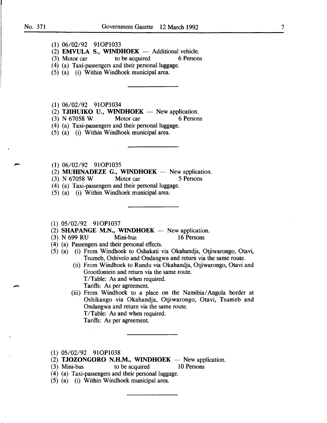-

- (1) 06/02/92 910Pl033
- (2) **EMVULA S., WINDHOEK**  $-$  Additional vehicle.<br>(3) Motor car to be acquired 6 Persons
- to be acquired
- ( 4) (a) Taxi-passengers and their personal luggage.
- (5) (a) (i) Within Windhoek municipal area.

(1) 06/02/92 910Pl034

(2) **TJIHUIKO U., WINDHOEK** - New application.<br>
(3) N 67058 W Motor car 6 Persons

 $(3)$  N 67058 W

- (4) (a) Taxi-passengers and their personal luggage.
- (5) (a) (i) Within Windhoek municipal area.
- (1) 06/02/92 910Pl035
- (2) MUHINADEZE G., WINDHOEK  $-$  New application.
- (3) N 67058 W Motor car 5 Persons
- (4) (a) Taxi-passengers and their personal luggage.
- (5) (a) (i) Within Windhoek municipal area.
- (1) 05/02/92 910P1037
- (2) SHAPANGE M.N., WINDHOEK  $-$  New application.
- (3) N 699 RU Mini-bus 16 Persons
- ( 4) (a) Passengers and their personal effects.
- (5) (a) (i) From Windhoek to Oshakati via Okahandja, Otjiwarongo, Otavi, Tsumeb, Oshivelo and Ondangwa and return via the same route.
	- (ii) From Windhoek to Rundu via Okahandja, Otjiwarongo, Otavi and Grootfontein and return via the same route. T/Table: As and when required.

Tariffs: As per agreement.

(iii) From Windhoek to a place on the Namibia/ Angola border at Oshikango via Okahandja, Otjiwarongo, Otavi, Tsumeb and Ondangwa and return via the same route. T/Table: As and when required.

Tariffs: As per agreement.

- (1) 05/02/92 910Pl038
- (2) TJOZONGORO N.H.M., WINDHOEK  $-$  New application.
- (3) Mini-bus to be acquired 10 Persons
- (4) (a) Taxi-passengers and their personal luggage.
- (5) (a) (i) Within Windhoek municipal area.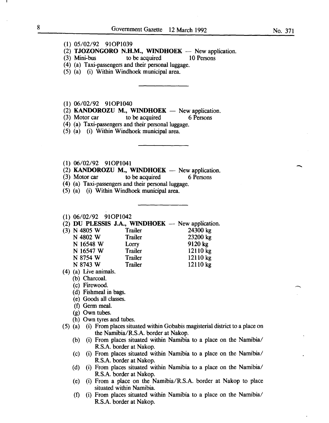- (1) 05/02/92 910P1039
- (2) **TJOZONGORO N.H.M., WINDHOEK** New application.<br>(3) Mini-bus to be acquired 10 Persons
	- to be acquired
- (4) (a) Taxi-passengers and their personal luggage.
- (5) (a) (i) Within Windhoek municipal area.
- (1) 06/02/92 910P1040
- (2) **KANDOROZU M., WINDHOEK** New application.<br>(3) Motor car to be acquired 6 Persons
- to be acquired
- (4) (a) Taxi-passengers and their personal luggage.
- (5) (a) (i) Within Windhoek municipal area.
- (1) 06/02/92 910Pl041
- (2) KANDOROZU M., WINDHOEK  $-$  New application.
- (3) Motor car to be acquired 6 Persons
- (4) (a) Taxi-passengers and their personal luggage.
- (5) (a) (i) Within Windhoek municipal area.

#### (1) 06/02/92 910P1042

(2) DU PLESSIS J.A., WINDHOEK  $-$  New application.<br>(3) N 4805 W Trailer 24300 kg

- (3) N 4805 W Trailer 24300 kg<br>N 4802 W Trailer 23200 kg N 4802 W Trailer N 16548 W Lorry 9120 kg N 16547 W Trailer 12110 kg N 8754 W Trailer 12110 kg N 8743 W Trailer 12110 kg
- (4) (a) Live animals.
	- (b) Charcoal.
	- (c) Firewood.
	- (d) Fishmeal in bags.
	- (e) Goods all classes.
	- (f) Germ meal.
	- (g) Own tubes.
	- (h) Own tyres and tubes.
- (5) (a) (i) From places situated within Gobabis magisterial district to a place on the Namibia/R.S.A. border at Nakop.
	- (b) (i) From places situated within Namibia to a place on the Namibia/ R.S.A. border at Nakop.
	- (c) (i) From places situated within Namibia to a place on the Namibia/ R.S.A. border at Nakop.
	- (d) (i) From places situated within Namibia to a place on the Namibia/ R.S.A. border at Nakop.
	- (e) (i) From a place on the Namibia/R.S.A. border at Nakop to place situated within Namibia.
	- (f) (i) From places situated within Namibia to a place on the Namibia/ R.S.A. border at Nakop.

 $\overline{\phantom{a}}$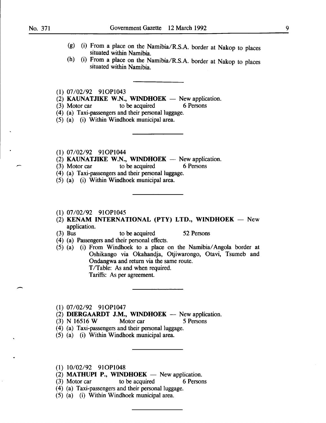$\overline{\phantom{a}}$ 

- (g) (i) From a place on the Namibia/R.S.A. border at Nakop to places situated within Namibia.
- (h) (i) From a place on the Namibia/R.S.A. border at Nakop to places situated within Namibia.
- (1) 07/02/92 910P1043
- (2) KAUNATJIKE W.N., WINDHOEK New application.<br>(3) Motor car to be acquired 6 Persons
- $(3)$  Motor car to be acquired
- (4) (a) Taxi-passengers and their personal luggage.
- (5) (a) (i) Within Windhoek municipal area.
- (1) 07/02/92 910P1044
- $(2)$  KAUNATJIKE W.N., WINDHOEK New application.
- (3) Motor car to be acquired 6 Persons
- ( 4) (a) Taxi-passengers and their personal luggage.
- (5) (a) (i) Within Windhoek municipal area.
- (1) 07/02/92 910P1045
- (2) KENAM INTERNATIONAL (PTY) LTD., WINDHOEK  $-$  New application.
- (3) Bus to be acquired 52 Persons
- ( 4) (a) Passengers and their personal effects.
- (5) (a) (i) From Windhoek to a place on the Namibia/ Angola border at Oshikango via Okahandja, Otjiwarongo, Otavi, Tsumeb and Ondangwa and return via the same route. T/Table: As and when required.

Tariffs: As per agreement.

- (1) 07/02/92 910P1047
- (2) **DIERGAARDT J.M., WINDHOEK** New application.<br>(3) N 16516 W Motor car 5 Persons
- Motor car 5 Persons
- (4) (a) Taxi-passengers and their personal luggage.
- (5) (a) (i) Within Windhoek municipal area.
- (1) 10/02/92 910P1048
- (2) MATHUPI P., WINDHOEK  $-$  New application.
- (3) Motor car to be acquired 6 Persons
- (4) (a) Taxi-passengers and their personal luggage.
- (5) (a) (i) Within Windhoek municipal area.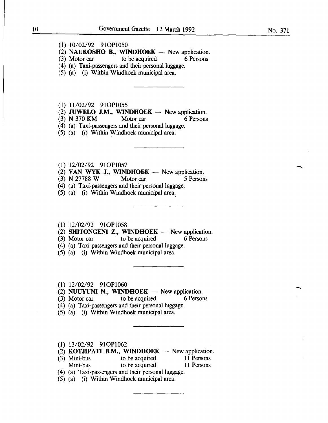### (I) 10/02/92 9IOP1050

 $(2)$  NAUKOSHO B., WINDHOEK - New application.

- (3) Motor car to be acquired 6 Persons
- ( 4) (a) Taxi-passengers and their personal luggage.
- (5) (a) (i) Within Windhoek municipal area.

(I) 11/02/92 9IOP1055

- (2) JUWELO J.M., WINDHOEK New application.<br>  $(3)$  N 370 KM Motor car 6 Persons
- (3) N 370 KM
- (4) (a) Taxi-passengers and their personal luggage.
- (5) (a) (i) Within Windhoek municipal area.
- (1) I2/02/92 9IOP1057
- (2) VAN WYK J., WINDHOEK  $-$  New application.
- (3) N 27788 W Motor car 5 Persons
- (4) (a) Taxi-passengers and their personal luggage.
- (5) (a) (i) Within Windhoek municipal area.,

#### (1) I2/02/92 9IOP1058

- (2) SHITONGENI Z., WINDHOEK  $-$  New application.
- $(3)$  Motor car to be acquired 6 Persons
- (4) (a) Taxi-passengers and their personal luggage.
- (5) (a) (i) Within Windhoek municipal area.
- (I) I2/02/92 910Pl060
- (2) NUUYUNI N., WINDHOEK  $-$  New application.
- (3) Motor car to be acquired 6 Persons
- (4) (a) Taxi-passengers and their personal luggage.
- (5) (a) (i) Within Windhoek municipal area.
- (I) 13/02/92 910Pl062
- (2) **KOTJIPATI B.M., WINDHOEK** New application.<br>(3) Mini-bus to be acquired 11 Persons
- to be acquired Mini-bus to be acquired 11 Persons
- (4) (a) Taxi-passengers and their personal luggage.
- (5) (a) (i) Within Windhoek municipal area.

-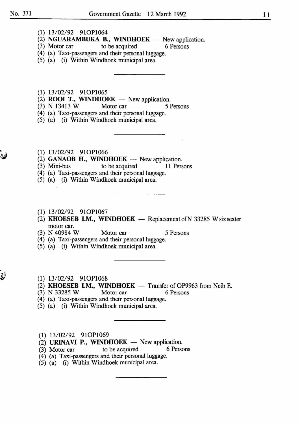- (1) 13/02/92 910P1064
- (2) **NGUARAMBUKA B., WINDHOEK** New application.<br>(3) Motor car to be acquired 6 Persons
- $(3)$  Motor car to be acquired
- (4) (a) Taxi-passengers and their personal luggage.
- (5) (a) (i) Within Windhoek municipal area.
- (1) 13/02/92 910P1065
- $(2)$  **ROOI T., WINDHOEK** New application.
- (3) N 13413 W Motor car *5* Persons
- (4) (a) Taxi-passengers and their personal luggage.
- (5) (a) (i) Within Windhoek municipal area.
- (1) 13/02/92 910P1066
- (2) **GANAOB H., WINDHOEK**  $-$  New application.
- (3) Mini-bus to be acquired II Persons
- (4) (a) Taxi-passengers and their personal luggage.
- (5) (a) (i) Within Windhoek municipal area.
- (1) 13/02/92 910P1067
- (2) **KHOESEB I.M., WINDHOEK** Replacement of N 33285 W six seater motor car.
- (3) N 40984 W Motor car *5* Persons

- (4) (a) Taxi-passengers and their personal luggage.
- (5) (a) (i) Within Windhoek municipal area.
- (I) 13/02/92 9IOP1068
- (2) **KHOESEB I.M., WINDHOEK** Transfer of OP9963 from Neib E.<br>(3) N 33285 W Motor car 6 Persons
- $(3)$  N 33285 W Motor car
- (4) (a) Taxi-passengers and their personal luggage.
- (5) (a) (i) Within Windhoek municipal area.
- (1) 13/02/92 910P1069
- (2) **URINAVI P., WINDHOEK** New application.<br>(3) Motor car to be acquired 6 Persons
- $(3)$  Motor car to be acquired
- ( 4) (a) Taxi-passengers and their personal luggage.
- (5) (a) (i) Within Windhoek municipal area.